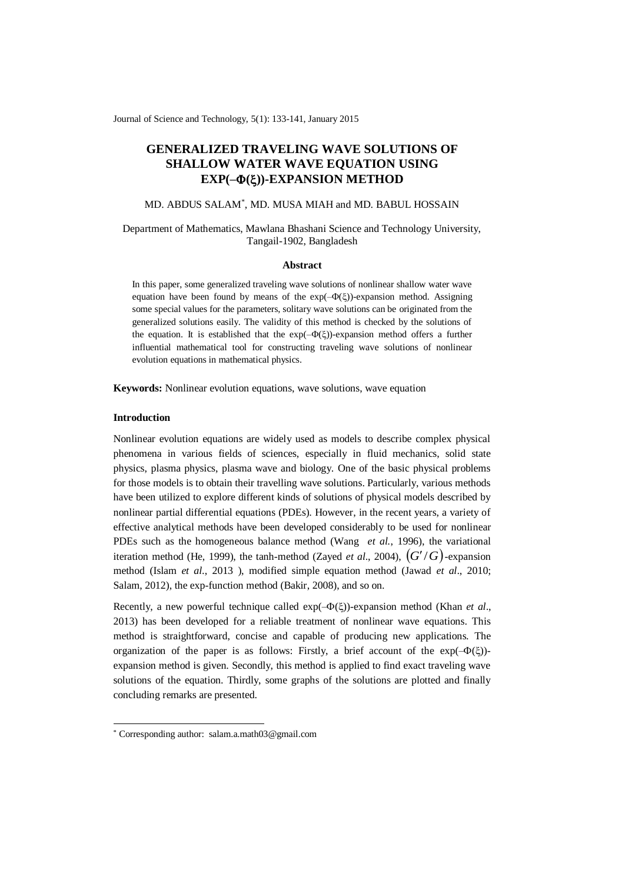Journal of Science and Technology, 5(1): 133-141, January 2015

# **GENERALIZED TRAVELING WAVE SOLUTIONS OF SHALLOW WATER WAVE EQUATION USING EXP(–())-EXPANSION METHOD**

# MD. ABDUS SALAM\* , MD. MUSA MIAH and MD. BABUL HOSSAIN

# Department of Mathematics, Mawlana Bhashani Science and Technology University, Tangail-1902, Bangladesh

#### **Abstract**

In this paper, some generalized traveling wave solutions of nonlinear shallow water wave equation have been found by means of the  $exp(-\Phi(\xi))$ -expansion method. Assigning some special values for the parameters, solitary wave solutions can be originated from the generalized solutions easily. The validity of this method is checked by the solutions of the equation. It is established that the  $exp(-\Phi(\xi))$ -expansion method offers a further influential mathematical tool for constructing traveling wave solutions of nonlinear evolution equations in mathematical physics.

**Keywords:** Nonlinear evolution equations, wave solutions, wave equation

## **Introduction**

-

Nonlinear evolution equations are widely used as models to describe complex physical phenomena in various fields of sciences, especially in fluid mechanics, solid state physics, plasma physics, plasma wave and biology. One of the basic physical problems for those models is to obtain their travelling wave solutions. Particularly, various methods have been utilized to explore different kinds of solutions of physical models described by nonlinear partial differential equations (PDEs). However, in the recent years, a variety of effective analytical methods have been developed considerably to be used for nonlinear PDEs such as the homogeneous balance method (Wang *et al.*, 1996), the variational iteration method (He, 1999), the tanh-method (Zayed *et al.*, 2004),  $(G'/G)$ -expansion method (Islam *et al*., 2013 ), modified simple equation method (Jawad *et al*., 2010; Salam, 2012), the exp-function method (Bakir, 2008), and so on.

Recently, a new powerful technique called  $exp(-\Phi(\xi))$ -expansion method (Khan *et al.*, 2013) has been developed for a reliable treatment of nonlinear wave equations. This method is straightforward, concise and capable of producing new applications. The organization of the paper is as follows: Firstly, a brief account of the  $exp(-\Phi(\xi))$ expansion method is given. Secondly, this method is applied to find exact traveling wave solutions of the equation. Thirdly, some graphs of the solutions are plotted and finally concluding remarks are presented.

<sup>\*</sup> Corresponding author: [salam.a.math03@gmail.com](mailto:salam.a.math03@gmail.com)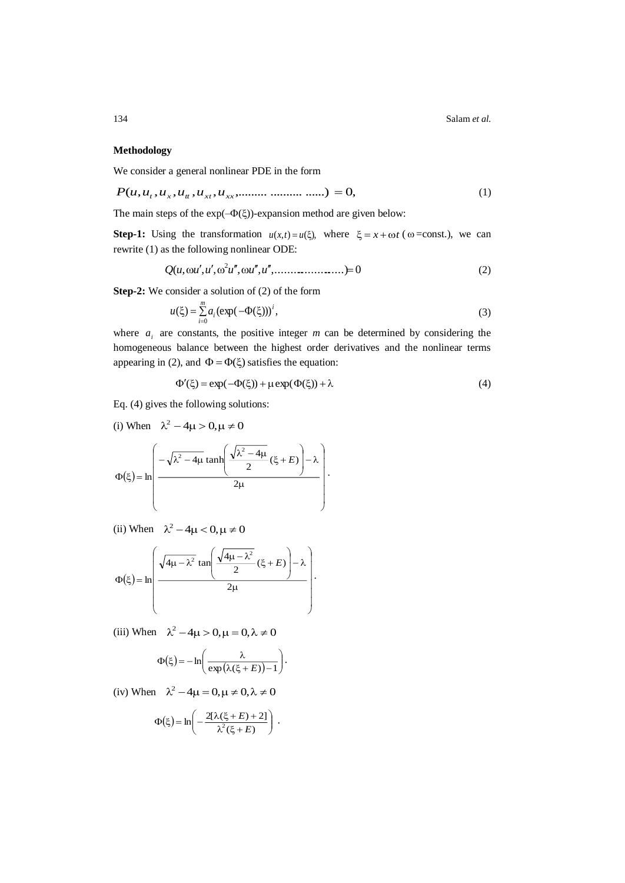# **Methodology**

We consider a general nonlinear PDE in the form

$$
P(u, u_t, u_x, u_{tt}, u_{xx}, u_{xx}, \dots, \dots, \dots, \dots) = 0,\tag{1}
$$

The main steps of the  $exp(-\Phi(\xi))$ -expansion method are given below:

**Step-1:** Using the transformation  $u(x,t) = u(\xi)$ , where  $\xi = x + \omega t$  ( $\omega = \text{const.}$ ), we can rewrite (1) as the following nonlinear ODE:

$$
Q(u, \omega u', u', \omega^2 u'', \omega u'', u'', \dots, \dots, \dots, \dots) = 0
$$
\n(2)

**Step-2:** We consider a solution of (2) of the form

$$
u(\xi) = \sum_{i=0}^{m} a_i (\exp(-\Phi(\xi)))^i,
$$
 (3)

where  $a_i$  are constants, the positive integer *m* can be determined by considering the homogeneous balance between the highest order derivatives and the nonlinear terms appearing in (2), and  $\Phi = \Phi(\xi)$  satisfies the equation:

$$
\Phi'(\xi) = \exp(-\Phi(\xi)) + \mu \exp(\Phi(\xi)) + \lambda \tag{4}
$$

Eq. (4) gives the following solutions:

(i) When 
$$
\lambda^2 - 4\mu > 0, \mu \neq 0
$$
  

$$
\Phi(\xi) = \ln \left( \frac{-\sqrt{\lambda^2 - 4\mu} \tanh\left(\frac{\sqrt{\lambda^2 - 4\mu}}{2} (\xi + E)\right) - \lambda}{2\mu} \right).
$$

(ii) When  $\lambda^2 - 4\mu < 0, \mu \neq 0$ 

$$
\Phi(\xi) = \ln\left(\frac{\sqrt{4\mu - \lambda^2} \tan\left(\frac{\sqrt{4\mu - \lambda^2}}{2} (\xi + E)\right) - \lambda}{2\mu}\right).
$$

(iii) When  $\lambda^2 - 4\mu > 0, \mu = 0, \lambda \neq 0$ 

$$
\Phi(\xi) = -\ln\left(\frac{\lambda}{\exp\left(\lambda(\xi + E)\right) - 1}\right).
$$

(iv) When  $\lambda^2 - 4\mu = 0, \mu \neq 0, \lambda \neq 0$ 

$$
\Phi(\xi) = \ln\left(-\frac{2[\lambda(\xi + E) + 2]}{\lambda^2(\xi + E)}\right).
$$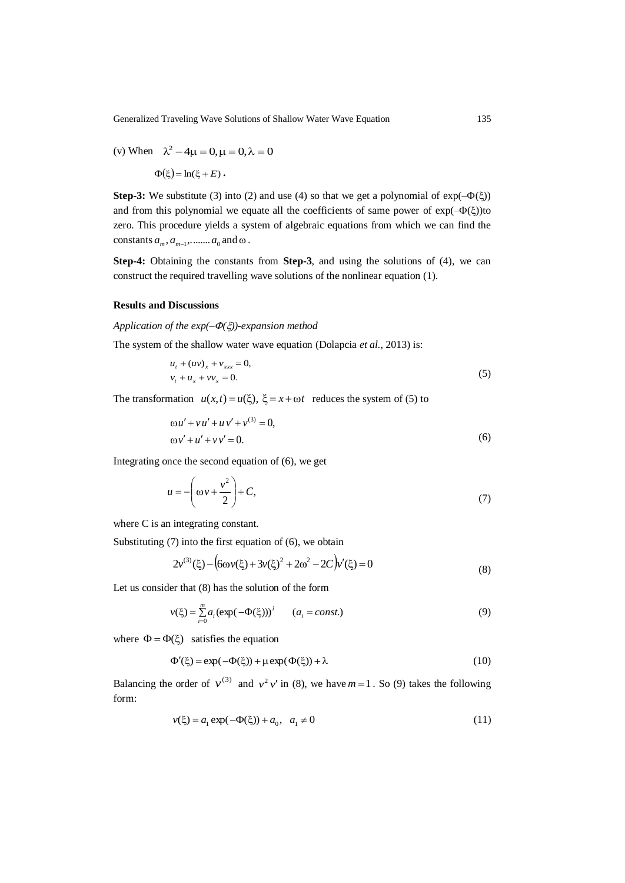(v) When 
$$
\lambda^2 - 4\mu = 0
$$
,  $\mu = 0$ ,  $\lambda = 0$   

$$
\Phi(\xi) = \ln(\xi + E).
$$

 zero. This procedure yields a system of algebraic equations from which we can find the **Step-3:** We substitute (3) into (2) and use (4) so that we get a polynomial of  $exp(-\Phi(\xi))$ and from this polynomial we equate all the coefficients of same power of  $exp(-\Phi(\xi))$ to constants  $a_m$ ,  $a_{m-1}$ , ........  $a_0$  and  $\omega$ .

**Step-4:** Obtaining the constants from **Step-3**, and using the solutions of (4), we can construct the required travelling wave solutions of the nonlinear equation (1).

## **Results and Discussions**

#### *Application of the*  $exp(-\Phi(\xi))$ *-expansion method*

The system of the shallow water wave equation (Dolapcia *et al.*, 2013) is:

$$
u_t + (uv)_x + v_{xxx} = 0,
$$
  
\n
$$
v_t + u_x + vv_x = 0.
$$
\n(5)

The transformation  $u(x,t) = u(\xi)$ ,  $\xi = x + \omega t$  reduces the system of (5) to

$$
\omega u' + v u' + u v' + v^{(3)} = 0,
$$
  
\n
$$
\omega v' + u' + v v' = 0.
$$
\n(6)

Integrating once the second equation of (6), we get

$$
u = -\left(\omega v + \frac{v^2}{2}\right) + C,\tag{7}
$$

where C is an integrating constant.

Substituting (7) into the first equation of (6), we obtain

$$
2v^{(3)}(\xi) - (6\omega v(\xi) + 3v(\xi)^2 + 2\omega^2 - 2C)v'(\xi) = 0
$$
\n(8)

Let us consider that (8) has the solution of the form

$$
v(\xi) = \sum_{i=0}^{m} a_i (\exp(-\Phi(\xi)))^i \qquad (a_i = const.)
$$
 (9)

where  $\Phi = \Phi(\xi)$  satisfies the equation

$$
\Phi'(\xi) = \exp(-\Phi(\xi)) + \mu \exp(\Phi(\xi)) + \lambda \tag{10}
$$

Balancing the order of  $v^{(3)}$  and  $v^2v'$  in (8), we have  $m=1$ . So (9) takes the following form:

$$
v(\xi) = a_1 \exp(-\Phi(\xi)) + a_0, \ \ a_1 \neq 0 \tag{11}
$$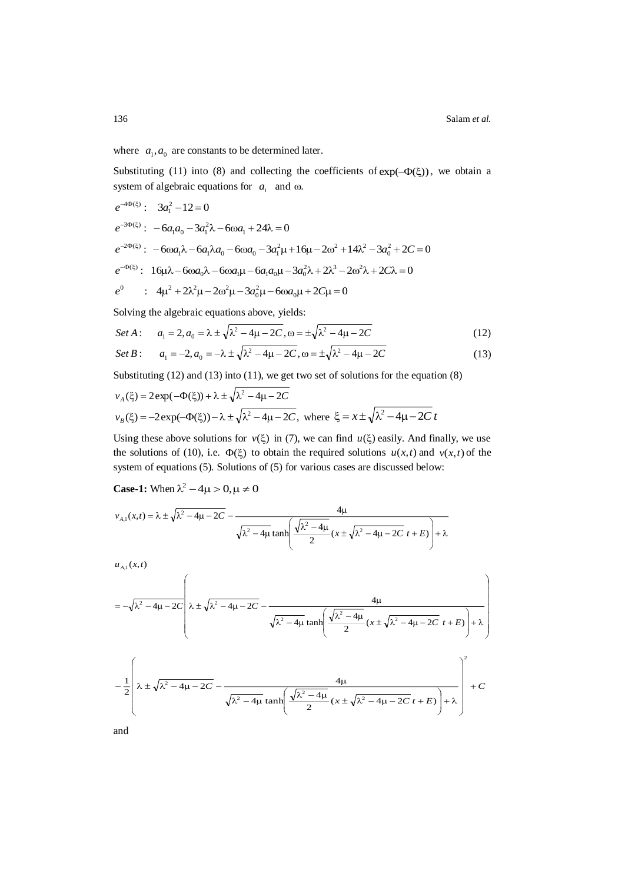J

J

where  $a_1, a_0$  are constants to be determined later.

Substituting (11) into (8) and collecting the coefficients of  $exp(-\Phi(\xi))$ , we obtain a system of algebraic equations for  $a_i$  and  $\omega$ .

$$
e^{-4\Phi(\xi)}: 3a_1^2 - 12 = 0
$$
  
\n
$$
e^{-3\Phi(\xi)}: -6a_1a_0 - 3a_1^2\lambda - 6\omega a_1 + 24\lambda = 0
$$
  
\n
$$
e^{-2\Phi(\xi)}: -6\omega a_1\lambda - 6a_1\lambda a_0 - 6\omega a_0 - 3a_1^2\mu + 16\mu - 2\omega^2 + 14\lambda^2 - 3a_0^2 + 2C = 0
$$
  
\n
$$
e^{-\Phi(\xi)}: 16\mu\lambda - 6\omega a_0\lambda - 6\omega a_1\mu - 6a_1a_0\mu - 3a_0^2\lambda + 2\lambda^3 - 2\omega^2\lambda + 2C\lambda = 0
$$
  
\n
$$
e^0: 4\mu^2 + 2\lambda^2\mu - 2\omega^2\mu - 3a_0^2\mu - 6\omega a_0\mu + 2C\mu = 0
$$

Solving the algebraic equations above, yields:

Set A: 
$$
a_1 = 2, a_0 = \lambda \pm \sqrt{\lambda^2 - 4\mu - 2C}, \omega = \pm \sqrt{\lambda^2 - 4\mu - 2C}
$$
 (12)

Set B: 
$$
a_1 = -2, a_0 = -\lambda \pm \sqrt{\lambda^2 - 4\mu - 2C}, \omega = \pm \sqrt{\lambda^2 - 4\mu - 2C}
$$
 (13)

Substituting (12) and (13) into (11), we get two set of solutions for the equation (8)

$$
v_A(\xi) = 2\exp(-\Phi(\xi)) + \lambda \pm \sqrt{\lambda^2 - 4\mu - 2C}
$$
  

$$
v_B(\xi) = -2\exp(-\Phi(\xi)) - \lambda \pm \sqrt{\lambda^2 - 4\mu - 2C}, \text{ where } \xi = x \pm \sqrt{\lambda^2 - 4\mu - 2C}t
$$

Using these above solutions for  $v(\xi)$  in (7), we can find  $u(\xi)$  easily. And finally, we use the solutions of (10), i.e.  $\Phi(\xi)$  to obtain the required solutions  $u(x,t)$  and  $v(x,t)$  of the system of equations (5). Solutions of (5) for various cases are discussed below:

**Case-1:** When  $\lambda^2 - 4\mu > 0$ ,  $\mu \neq 0$ 

$$
v_{A,1}(x,t) = \lambda \pm \sqrt{\lambda^2 - 4\mu - 2C} - \frac{4\mu}{\sqrt{\lambda^2 - 4\mu \tanh\left(\frac{\sqrt{\lambda^2 - 4\mu}}{2} (x \pm \sqrt{\lambda^2 - 4\mu - 2C} t + E)\right)} + \lambda}
$$

 $u_{A,1}(x,t)$ 

$$
= -\sqrt{\lambda^2 - 4\mu - 2C} \left( \lambda \pm \sqrt{\lambda^2 - 4\mu - 2C} - \frac{4\mu}{\sqrt{\lambda^2 - 4\mu \tanh\left(\frac{\sqrt{\lambda^2 - 4\mu}}{2} (x \pm \sqrt{\lambda^2 - 4\mu - 2C} t + E)\right)} + \lambda \right)
$$

$$
- \frac{1}{2} \left( \lambda \pm \sqrt{\lambda^2 - 4\mu - 2C} - \frac{4\mu}{\sqrt{\lambda^2 - 4\mu \tanh\left(\frac{\sqrt{\lambda^2 - 4\mu}}{2} (x \pm \sqrt{\lambda^2 - 4\mu - 2C} t + E)\right)} + C \right)
$$

L

and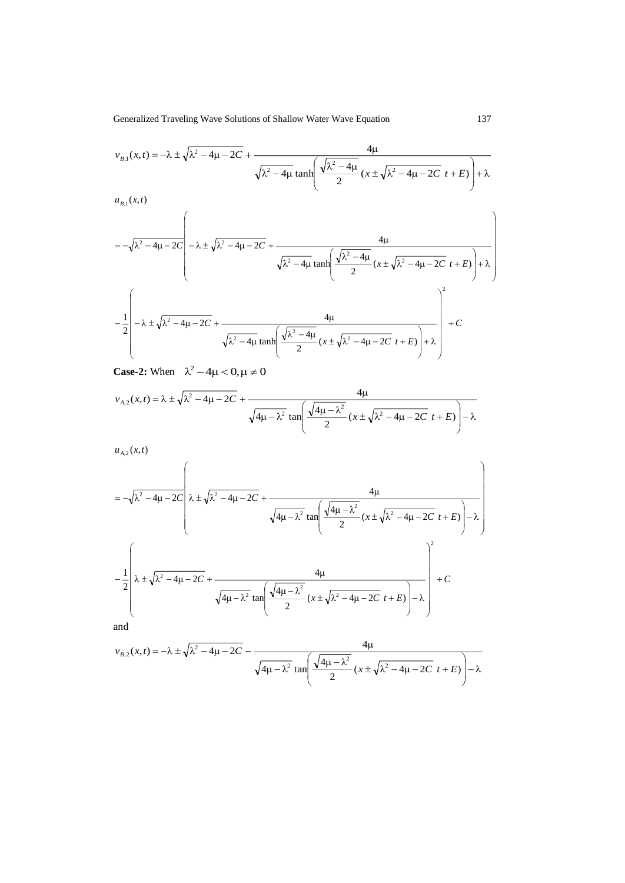$$
v_{B,1}(x,t) = -\lambda \pm \sqrt{\lambda^2 - 4\mu - 2C} + \frac{4\mu}{\sqrt{\lambda^2 - 4\mu} \tanh\left(\frac{\sqrt{\lambda^2 - 4\mu}}{2} (x \pm \sqrt{\lambda^2 - 4\mu - 2C} t + E)\right)} + \lambda
$$

 $u_{B,1}(x,t)$ 

$$
= -\sqrt{\lambda^2 - 4\mu - 2C} \left( -\lambda \pm \sqrt{\lambda^2 - 4\mu - 2C} + \frac{4\mu}{\sqrt{\lambda^2 - 4\mu \tanh\left(\frac{\sqrt{\lambda^2 - 4\mu}}{2} (x \pm \sqrt{\lambda^2 - 4\mu - 2C} t + E)\right)} + \lambda \right)
$$

$$
- \frac{1}{2} \left( -\lambda \pm \sqrt{\lambda^2 - 4\mu - 2C} + \frac{4\mu}{\sqrt{\lambda^2 - 4\mu \tanh\left(\frac{\sqrt{\lambda^2 - 4\mu}}{2} (x \pm \sqrt{\lambda^2 - 4\mu - 2C} t + E)\right)} + \lambda \right)^2 + C
$$

**Case-2:** When  $\lambda^2 - 4\mu < 0, \mu \neq 0$ 

$$
v_{A,2}(x,t) = \lambda \pm \sqrt{\lambda^2 - 4\mu - 2C} + \frac{4\mu}{\sqrt{4\mu - \lambda^2} \tan\left(\frac{\sqrt{4\mu - \lambda^2}}{2} (x \pm \sqrt{\lambda^2 - 4\mu - 2C} t + E)\right) - \lambda}
$$

 $u_{A,2}(x,t)$ 

$$
= -\sqrt{\lambda^2 - 4\mu - 2C} \left( \lambda \pm \sqrt{\lambda^2 - 4\mu - 2C} + \frac{4\mu}{\sqrt{4\mu - \lambda^2} \tan \left( \frac{\sqrt{4\mu - \lambda^2}}{2} (x \pm \sqrt{\lambda^2 - 4\mu - 2C} t + E) \right) - \lambda} \right)
$$
  

$$
- \frac{1}{2} \left( \lambda \pm \sqrt{\lambda^2 - 4\mu - 2C} + \frac{4\mu}{\sqrt{4\mu - \lambda^2} \tan \left( \frac{\sqrt{4\mu - \lambda^2}}{2} (x \pm \sqrt{\lambda^2 - 4\mu - 2C} t + E) \right) - \lambda} \right)^2 + C
$$
  
and

$$
v_{B,2}(x,t) = -\lambda \pm \sqrt{\lambda^2 - 4\mu - 2C} - \frac{4\mu}{\sqrt{4\mu - \lambda^2} \tan\left(\frac{\sqrt{4\mu - \lambda^2}}{2} (x \pm \sqrt{\lambda^2 - 4\mu - 2C} t + E)\right) - \lambda}
$$

İ

I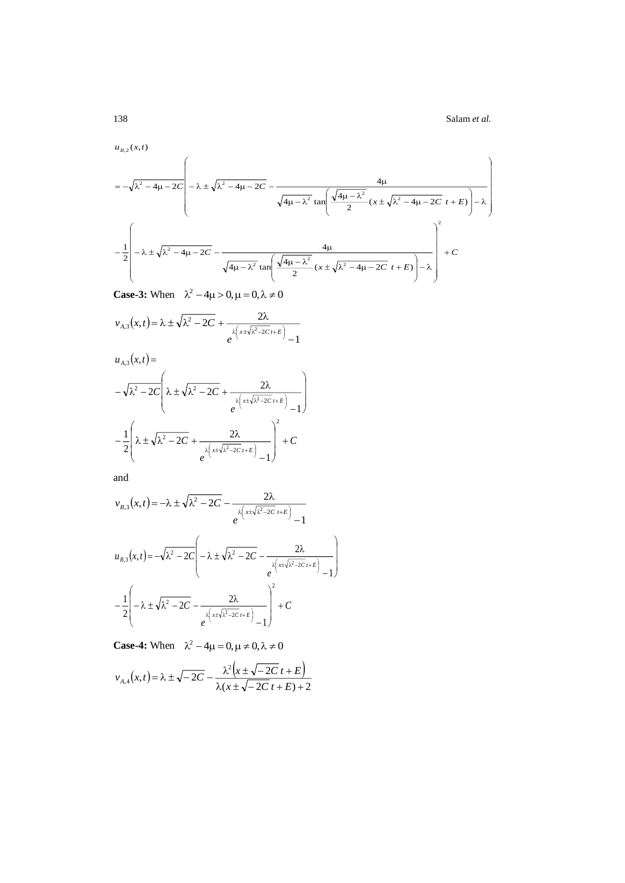138 Salam *et al.*

l

I

 $u_{B,2}(x,t)$ 

$$
u_{B,2}(x,t)
$$
\n
$$
= -\sqrt{\lambda^2 - 4\mu - 2C} \left( -\lambda \pm \sqrt{\lambda^2 - 4\mu - 2C} - \frac{4\mu}{\sqrt{4\mu - \lambda^2} \tan \left( \frac{\sqrt{4\mu - \lambda^2}}{2} (x \pm \sqrt{\lambda^2 - 4\mu - 2C} t + E) \right) - \lambda} \right)
$$
\n
$$
-\frac{1}{2} \left( -\lambda \pm \sqrt{\lambda^2 - 4\mu - 2C} - \frac{4\mu}{\sqrt{4\mu - \lambda^2} \tan \left( \frac{\sqrt{4\mu - \lambda^2}}{2} (x \pm \sqrt{\lambda^2 - 4\mu - 2C} t + E) \right) - \lambda} \right)^2 + C
$$

I I I

J

 $\backslash$ 

 $\backslash$ 

Case-3: When 
$$
\lambda^2 - 4\mu > 0
$$
,  $\mu = 0$ ,  $\lambda \neq 0$ 

$$
v_{A,3}(x,t) = \lambda \pm \sqrt{\lambda^2 - 2C} + \frac{2\lambda}{e^{\lambda \left(x \pm \sqrt{\lambda^2 - 2C} t + E\right)} - 1}
$$

$$
u_{A,3}(x,t) =
$$
  

$$
-\sqrt{\lambda^2 - 2C} \left( \lambda \pm \sqrt{\lambda^2 - 2C} + \frac{2\lambda}{e^{\lambda \left(x \pm \sqrt{\lambda^2 - 2C}t + E\right)} - 1} \right)
$$
  

$$
-\frac{1}{2} \left( \lambda \pm \sqrt{\lambda^2 - 2C} + \frac{2\lambda}{e^{\lambda \left(x \pm \sqrt{\lambda^2 - 2C}t + E\right)} - 1} \right)^2 + C
$$

and

$$
v_{B,3}(x,t) = -\lambda \pm \sqrt{\lambda^2 - 2C} - \frac{2\lambda}{e^{\lambda \left(x \pm \sqrt{\lambda^2 - 2C} \ t + E\right)} - 1}
$$
  

$$
u_{B,3}(x,t) = -\sqrt{\lambda^2 - 2C} \left( -\lambda \pm \sqrt{\lambda^2 - 2C} - \frac{2\lambda}{e^{\lambda \left(x \pm \sqrt{\lambda^2 - 2C} \ t + E\right)} - 1} - \frac{1}{2} \left( -\lambda \pm \sqrt{\lambda^2 - 2C} - \frac{2\lambda}{e^{\lambda \left(x \pm \sqrt{\lambda^2 - 2C} \ t + E\right)} - 1} \right)^2 + C
$$

**Case-4:** When  $\lambda^2 - 4\mu = 0, \mu \neq 0, \lambda \neq 0$ 

$$
v_{A,4}(x,t) = \lambda \pm \sqrt{-2C} - \frac{\lambda^2 \left(x \pm \sqrt{-2C} t + E\right)}{\lambda(x \pm \sqrt{-2C} t + E) + 2}
$$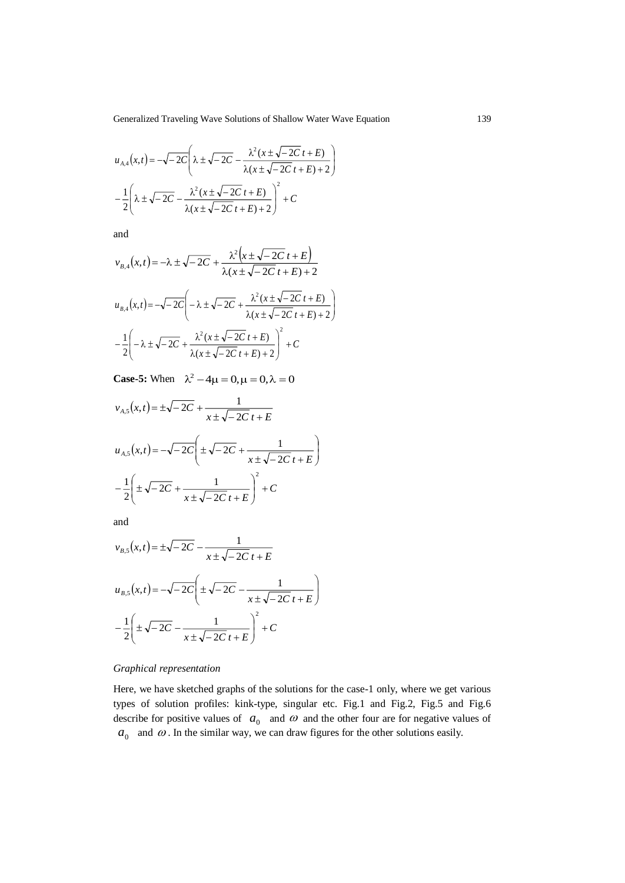▎ I

$$
u_{A,4}(x,t) = -\sqrt{-2C} \left( \lambda \pm \sqrt{-2C} - \frac{\lambda^2 (x \pm \sqrt{-2C} t + E)}{\lambda (x \pm \sqrt{-2C} t + E) + 2} \right)
$$
  

$$
-\frac{1}{2} \left( \lambda \pm \sqrt{-2C} - \frac{\lambda^2 (x \pm \sqrt{-2C} t + E)}{\lambda (x \pm \sqrt{-2C} t + E) + 2} \right)^2 + C
$$

and

$$
v_{B,4}(x,t) = -\lambda \pm \sqrt{-2C} + \frac{\lambda^2 (x \pm \sqrt{-2C} t + E)}{\lambda (x \pm \sqrt{-2C} t + E) + 2}
$$
  

$$
u_{B,4}(x,t) = -\sqrt{-2C} \left( -\lambda \pm \sqrt{-2C} + \frac{\lambda^2 (x \pm \sqrt{-2C} t + E)}{\lambda (x \pm \sqrt{-2C} t + E) + 2} \right)
$$
  

$$
-\frac{1}{2} \left( -\lambda \pm \sqrt{-2C} + \frac{\lambda^2 (x \pm \sqrt{-2C} t + E)}{\lambda (x \pm \sqrt{-2C} t + E) + 2} \right)^2 + C
$$

**Case-5:** When  $\lambda^2 - 4\mu = 0, \mu = 0, \lambda = 0$ 

$$
v_{A,5}(x,t) = \pm \sqrt{-2C} + \frac{1}{x \pm \sqrt{-2C}t + E}
$$
  

$$
u_{A,5}(x,t) = -\sqrt{-2C} \left( \pm \sqrt{-2C} + \frac{1}{x \pm \sqrt{-2C}t + E} \right)
$$
  

$$
-\frac{1}{2} \left( \pm \sqrt{-2C} + \frac{1}{x \pm \sqrt{-2C}t + E} \right)^2 + C
$$

and

$$
v_{B,5}(x,t) = \pm \sqrt{-2C} - \frac{1}{x \pm \sqrt{-2C}t + E}
$$
  

$$
u_{B,5}(x,t) = -\sqrt{-2C} \left( \pm \sqrt{-2C} - \frac{1}{x \pm \sqrt{-2C}t + E} \right)
$$
  

$$
-\frac{1}{2} \left( \pm \sqrt{-2C} - \frac{1}{x \pm \sqrt{-2C}t + E} \right)^2 + C
$$

# *Graphical representation*

Here, we have sketched graphs of the solutions for the case-1 only, where we get various types of solution profiles: kink-type, singular etc. Fig.1 and Fig.2, Fig.5 and Fig.6 describe for positive values of  $a_0$  and  $\omega$  and the other four are for negative values of  $a_0$  and  $\omega$ . In the similar way, we can draw figures for the other solutions easily.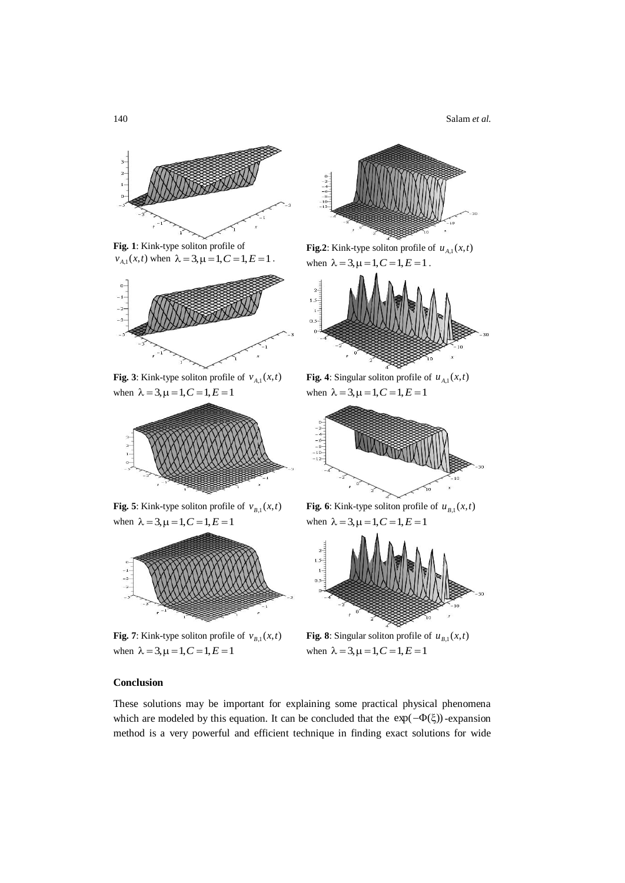140 Salam *et al.*



**Fig. 1**: Kink-type soliton profile of  $v_{A,1}(x,t)$  when  $\lambda = 3, \mu = 1, C = 1, E = 1$ .



**Fig. 3**: Kink-type soliton profile of  $v_{A,1}(x,t)$ when  $\lambda = 3, \mu = 1, C = 1, E = 1$ 



**Fig. 5**: Kink-type soliton profile of  $v_{B,1}(x,t)$ when  $\lambda = 3, \mu = 1, C = 1, E = 1$ 



**Fig.** 7: Kink-type soliton profile of  $v_{B,1}(x,t)$ when  $\lambda = 3, \mu = 1, C = 1, E = 1$ 



**Fig.2**: Kink-type soliton profile of  $u_{A,1}(x,t)$ when  $\lambda = 3, \mu = 1, C = 1, E = 1$ .



**Fig. 4**: Singular soliton profile of  $u_{A,1}(x,t)$ when  $\lambda = 3, \mu = 1, C = 1, E = 1$ 



**Fig. 6**: Kink-type soliton profile of  $u_{B,1}(x,t)$ when  $\lambda = 3, \mu = 1, C = 1, E = 1$ 



**Fig. 8**: Singular soliton profile of  $u_{B,1}(x,t)$ when  $\lambda = 3, \mu = 1, C = 1, E = 1$ 

# **Conclusion**

These solutions may be important for explaining some practical physical phenomena which are modeled by this equation. It can be concluded that the  $\exp(-\Phi(\xi))$ -expansion method is a very powerful and efficient technique in finding exact solutions for wide